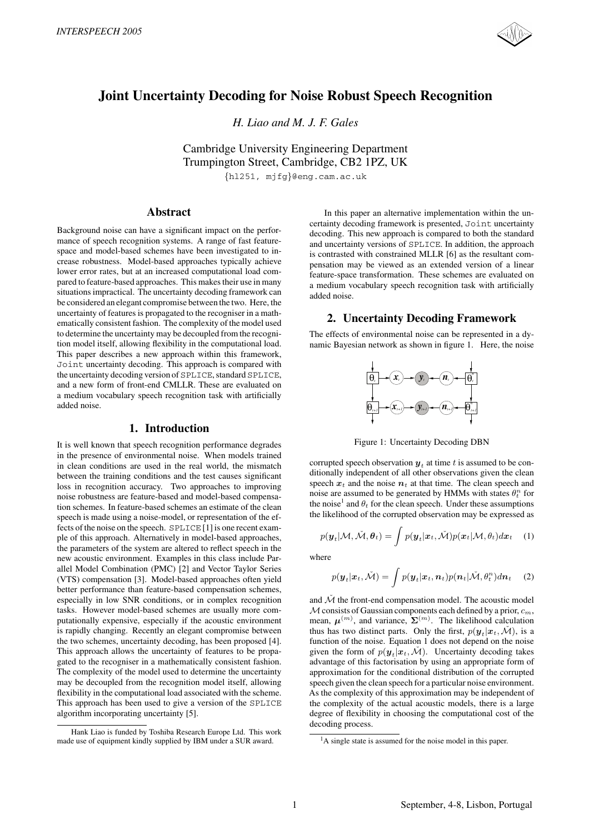

# **Joint Uncertainty Decoding for Noise Robust Speech Recognition**

*H. Liao and M. J. F. Gales*

Cambridge University Engineering Department Trumpington Street, Cambridge, CB2 1PZ, UK {hl251, mjfg}@eng.cam.ac.uk

**Abstract**

Background noise can have a significant impact on the performance of speech recognition systems. A range of fast featurespace and model-based schemes have been investigated to increase robustness. Model-based approaches typically achieve lower error rates, but at an increased computational load compared to feature-based approaches. This makes their use in many situations impractical. The uncertainty decoding framework can be considered an elegant compromise between the two. Here, the uncertainty of features is propagated to the recogniser in a mathematically consistent fashion. The complexity of the model used to determine the uncertainty may be decoupled from the recognition model itself, allowing flexibility in the computational load. This paper describes a new approach within this framework, Joint uncertainty decoding. This approach is compared with the uncertainty decoding version of SPLICE, standard SPLICE, and a new form of front-end CMLLR. These are evaluated on a medium vocabulary speech recognition task with artificially added noise.

# **1. Introduction**

It is well known that speech recognition performance degrades in the presence of environmental noise. When models trained in clean conditions are used in the real world, the mismatch between the training conditions and the test causes significant loss in recognition accuracy. Two approaches to improving noise robustness are feature-based and model-based compensation schemes. In feature-based schemes an estimate of the clean speech is made using a noise-model, or representation of the effects of the noise on the speech. SPLICE [1] is one recent example of this approach. Alternatively in model-based approaches, the parameters of the system are altered to reflect speech in the new acoustic environment. Examples in this class include Parallel Model Combination (PMC) [2] and Vector Taylor Series (VTS) compensation [3]. Model-based approaches often yield better performance than feature-based compensation schemes, especially in low SNR conditions, or in complex recognition tasks. However model-based schemes are usually more computationally expensive, especially if the acoustic environment is rapidly changing. Recently an elegant compromise between the two schemes, uncertainty decoding, has been proposed [4]. This approach allows the uncertainty of features to be propagated to the recogniser in a mathematically consistent fashion. The complexity of the model used to determine the uncertainty may be decoupled from the recognition model itself, allowing flexibility in the computational load associated with the scheme. This approach has been used to give a version of the SPLICE algorithm incorporating uncertainty [5].

In this paper an alternative implementation within the uncertainty decoding framework is presented, Joint uncertainty decoding. This new approach is compared to both the standard and uncertainty versions of SPLICE. In addition, the approach is contrasted with constrained MLLR [6] as the resultant compensation may be viewed as an extended version of a linear feature-space transformation. These schemes are evaluated on a medium vocabulary speech recognition task with artificially added noise.

# **2. Uncertainty Decoding Framework**

The effects of environmental noise can be represented in a dynamic Bayesian network as shown in figure 1. Here, the noise



Figure 1: Uncertainty Decoding DBN

corrupted speech observation  $y_t$  at time t is assumed to be conditionally independent of all other observations given the clean speech  $x_t$  and the noise  $n_t$  at that time. The clean speech and noise are assumed to be generated by HMMs with states  $\theta_t^n$  for the noise<sup>1</sup> and  $\theta_t$  for the clean speech. Under these assumptions the likelihood of the corrupted observation may be expressed as

$$
p(\boldsymbol{y}_t | \mathcal{M}, \check{\mathcal{M}}, \boldsymbol{\theta}_t) = \int p(\boldsymbol{y}_t | \boldsymbol{x}_t, \check{\mathcal{M}}) p(\boldsymbol{x}_t | \mathcal{M}, \theta_t) d\boldsymbol{x}_t \quad (1)
$$

where

$$
p(\boldsymbol{y}_t|\boldsymbol{x}_t, \check{\mathcal{M}}) = \int p(\boldsymbol{y}_t|\boldsymbol{x}_t, \boldsymbol{n}_t) p(\boldsymbol{n}_t|\check{\mathcal{M}}, \theta_t^n) d\boldsymbol{n}_t \quad (2)
$$

and  $\check{\mathcal{M}}$  the front-end compensation model. The acoustic model  $M$  consists of Gaussian components each defined by a prior,  $c_m$ , mean,  $\mu^{(m)}$ , and variance,  $\Sigma^{(m)}$ . The likelihood calculation thus has two distinct parts. Only the first,  $p(\mathbf{y}_t|\mathbf{x}_t,\tilde{\mathcal{M}})$ , is a function of the noise. Equation 1 does not depend on the noise given the form of  $p(\mathbf{y}_t|\mathbf{x}_t,\mathcal{M})$ . Uncertainty decoding takes advantage of this factorisation by using an appropriate form of approximation for the conditional distribution of the corrupted speech given the clean speech for a particular noise environment. As the complexity of this approximation may be independent of the complexity of the actual acoustic models, there is a large degree of flexibility in choosing the computational cost of the decoding process.

Hank Liao is funded by Toshiba Research Europe Ltd. This work made use of equipment kindly supplied by IBM under a SUR award.

<sup>&</sup>lt;sup>1</sup>A single state is assumed for the noise model in this paper.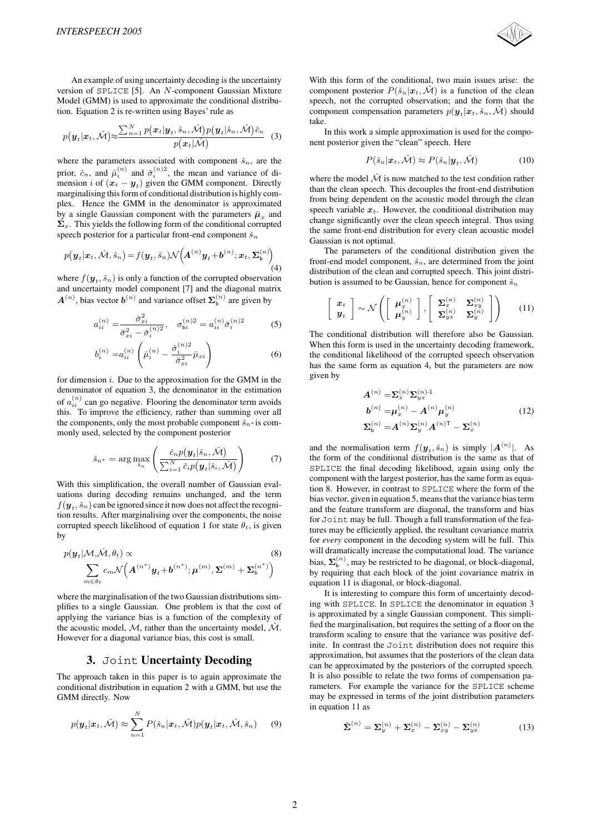An example of using uncertainty decoding is the uncertainty version of SPLICE [5]. An N-component Gaussian Mixture Model (GMM) is used to approximate the conditional distribution. Equation 2 is re-written using Bayes' rule as

$$
p(\boldsymbol{y}_t|\boldsymbol{x}_t, \check{\mathcal{M}}) \approx \frac{\sum_{n=1}^N p(\boldsymbol{x}_t|\boldsymbol{y}_t, \check{s}_n, \check{\mathcal{M}}) p(\boldsymbol{y}_t|\check{s}_n, \check{\mathcal{M}}) \check{c}_n}{p(\boldsymbol{x}_t|\check{\mathcal{M}})} \quad (3)
$$

where the parameters associated with component  $\check{s}_n$ , are the prior  $\check{s}_n$  and  $\check{\chi}_n^{(n)}$  and  $\check{\chi}_n^{(n)}$  and  $\check{\chi}_n^{(n)}$  are mean and unique of diprior,  $\check{c}_n$ , and  $\check{\mu}_i^{(n)}$  and  $\check{\sigma}_i^{(n)}$ , the mean and variance of di-<br>mension *i* of  $(r_i - y_i)$  given the GMM component. Directly mension *i* of  $(x_t - y_t)$  given the GMM component. Directly marginalising this form of conditional distribution is highly complex. Hence the GMM in the denominator is approximated by a single Gaussian component with the parameters  $\bar{\mu}_x$  and  $\bar{\mathbf{\Sigma}}_x$ . This yields the following form of the conditional corrupted speech posterior for a particular front-end component  $\check{s}_n$ 

$$
p(\boldsymbol{y}_t|\boldsymbol{x}_t, \check{\mathcal{M}}, \check{s}_n) = f(\boldsymbol{y}_t, \check{s}_n) \mathcal{N}\big(\boldsymbol{A}^{(n)}\boldsymbol{y}_t + \boldsymbol{b}^{(n)}; \boldsymbol{x}_t, \boldsymbol{\Sigma}_{\mathsf{b}}^{(n)}\big) \tag{4}
$$

where  $f(\mathbf{y}_t, \check{s}_n)$  is only a function of the corrupted observation and uncertainty model component [7] and the diagonal matrix  $A^{(n)}$ , bias vector  $b^{(n)}$  and variance offset  $\Sigma_b^{(n)}$  are given by

$$
a_{ii}^{(n)} = \frac{\bar{\sigma}_{xi}^2}{\bar{\sigma}_{xi}^2 - \check{\sigma}_i^{(n)2}}, \quad \sigma_{bi}^{(n)2} = a_{ii}^{(n)} \check{\sigma}_i^{(n)2}
$$
(5)

$$
b_i^{(n)} = a_{ii}^{(n)} \left( \breve{\mu}_i^{(n)} - \frac{\breve{\sigma}_i^{(n)2}}{\bar{\sigma}_{xi}^2} \bar{\mu}_{xi} \right)
$$
 (6)

for dimension  $i$ . Due to the approximation for the GMM in the denominator of equation 3, the denominator in the estimation of  $a_{ii}^{(n)}$  can go negative. Flooring the denominator term avoids this. To improve the efficiency, rather than summing over all the components, only the most probable component  $\check{s}_n*$  is commonly used, selected by the component posterior

$$
\check{s}_{n^*} = \arg \max_{\check{s}_n} \left( \frac{\check{c}_n p(\boldsymbol{y}_t | \check{s}_n, \check{\mathcal{M}})}{\sum_{i=1}^N \check{c}_i p(\boldsymbol{y}_t | \check{s}_i, \check{\mathcal{M}})} \right) \tag{7}
$$

With this simplification, the overall number of Gaussian evaluations during decoding remains unchanged, and the term  $f(\mathbf{y}_t, \check{s}_n)$  can be ignored since it now does not affect the recognition results. After marginalising over the components, the noise corrupted speech likelihood of equation 1 for state  $\theta_t$ , is given by

$$
p(\boldsymbol{y}_t | \mathcal{M}, \tilde{\mathcal{M}}, \theta_t) \propto \tag{8}
$$
  

$$
\sum_{m \in \theta_t} c_m \mathcal{N}\left(\boldsymbol{A}^{(n^*)} \boldsymbol{y}_t + \boldsymbol{b}^{(n^*)}; \boldsymbol{\mu}^{(m)}, \boldsymbol{\Sigma}^{(m)} + \boldsymbol{\Sigma}_b^{(n^*)}\right)
$$

where the marginalisation of the two Gaussian distributions simplifies to a single Gaussian. One problem is that the cost of applying the variance bias is a function of the complexity of the acoustic model,  $M$ , rather than the uncertainty model,  $\check{M}$ . However for a diagonal variance bias, this cost is small.

#### **3.** Joint **Uncertainty Decoding**

The approach taken in this paper is to again approximate the conditional distribution in equation 2 with a GMM, but use the GMM directly. Now

$$
p(\boldsymbol{y}_t|\boldsymbol{x}_t, \check{\mathcal{M}}) \approx \sum_{n=1}^N P(\check{s}_n|\boldsymbol{x}_t, \check{\mathcal{M}}) p(\boldsymbol{y}_t|\boldsymbol{x}_t, \check{\mathcal{M}}, \check{s}_n) \qquad (9)
$$

With this form of the conditional, two main issues arise: the component posterior  $P(\check{s}_n|\boldsymbol{x}_t,\check{\mathcal{M}})$  is a function of the clean speech, not the corrupted observation; and the form that the component compensation parameters  $p(\mathbf{y}_t|\mathbf{x}_t, \check{s}_n, \mathcal{M})$  should take.

In this work a simple approximation is used for the component posterior given the "clean" speech. Here

$$
P(\check{s}_n|\boldsymbol{x}_t, \check{\mathcal{M}}) \approx P(\check{s}_n|\boldsymbol{y}_t, \check{\mathcal{M}})
$$
 (10)

where the model  $\check{\mathcal{M}}$  is now matched to the test condition rather than the clean speech. This decouples the front-end distribution from being dependent on the acoustic model through the clean speech variable  $x_t$ . However, the conditional distribution may change significantly over the clean speech integral. Thus using the same front-end distribution for every clean acoustic model Gaussian is not optimal.

The parameters of the conditional distribution given the front-end model component,  $\check{s}_n$ , are determined from the joint distribution of the clean and corrupted speech. This joint distribution is assumed to be Gaussian, hence for component  $\check{s}_n$ 

$$
\left[\begin{array}{c}\boldsymbol{x}_t\\\boldsymbol{y}_t\end{array}\right] \sim \mathcal{N}\left(\left[\begin{array}{c}\boldsymbol{\mu}_x^{(n)}\\\boldsymbol{\mu}_y^{(n)}\end{array}\right],\left[\begin{array}{cc}\boldsymbol{\Sigma}_x^{(n)}&\boldsymbol{\Sigma}_{xy}^{(n)}\\ \boldsymbol{\Sigma}_{yx}^{(n)}&\boldsymbol{\Sigma}_y^{(n)}\end{array}\right]\right) \qquad (11)
$$

The conditional distribution will therefore also be Gaussian. When this form is used in the uncertainty decoding framework, the conditional likelihood of the corrupted speech observation has the same form as equation 4, but the parameters are now given by

$$
A^{(n)} = \sum_{x}^{(n)} \sum_{yx}^{(n)-1}
$$
  
\n
$$
b^{(n)} = \mu_x^{(n)} - A^{(n)} \mu_y^{(n)}
$$
  
\n
$$
\sum_{b}^{(n)} = A^{(n)} \sum_{y}^{(n)} A^{(n)T} - \sum_{x}^{(n)}
$$
\n(12)

and the normalisation term  $f(\mathbf{y}_t, \check{s}_n)$  is simply  $|\mathbf{A}^{(n)}|$ . As the form of the conditional distribution is the same as that of SPLICE the final decoding likelihood, again using only the component with the largest posterior, has the same form as equation 8. However, in contrast to SPLICE where the form of the bias vector, given in equation 5, means that the variance bias term and the feature transform are diagonal, the transform and bias for Joint may be full. Though a full transformation of the features may be efficiently applied, the resultant covariance matrix for *every* component in the decoding system will be full. This will dramatically increase the computational load. The variance bias,  $\Sigma_{\text{b}}^{(n)}$ , may be restricted to be diagonal, or block-diagonal, by requiring that each block of the joint covariance matrix in equation 11 is diagonal, or block-diagonal.

It is interesting to compare this form of uncertainty decoding with SPLICE. In SPLICE the denominator in equation 3 is approximated by a single Gaussian component. This simplified the marginalisation, but requires the setting of a floor on the transform scaling to ensure that the variance was positive definite. In contrast the Joint distribution does not require this approximation, but assumes that the posteriors of the clean data can be approximated by the posteriors of the corrupted speech. It is also possible to relate the two forms of compensation parameters. For example the variance for the SPLICE scheme may be expressed in terms of the joint distribution parameters in equation 11 as

$$
\check{\boldsymbol{\Sigma}}^{(n)} = \boldsymbol{\Sigma}_y^{(n)} + \boldsymbol{\Sigma}_x^{(n)} - \boldsymbol{\Sigma}_{xy}^{(n)} - \boldsymbol{\Sigma}_{yx}^{(n)}
$$
(13)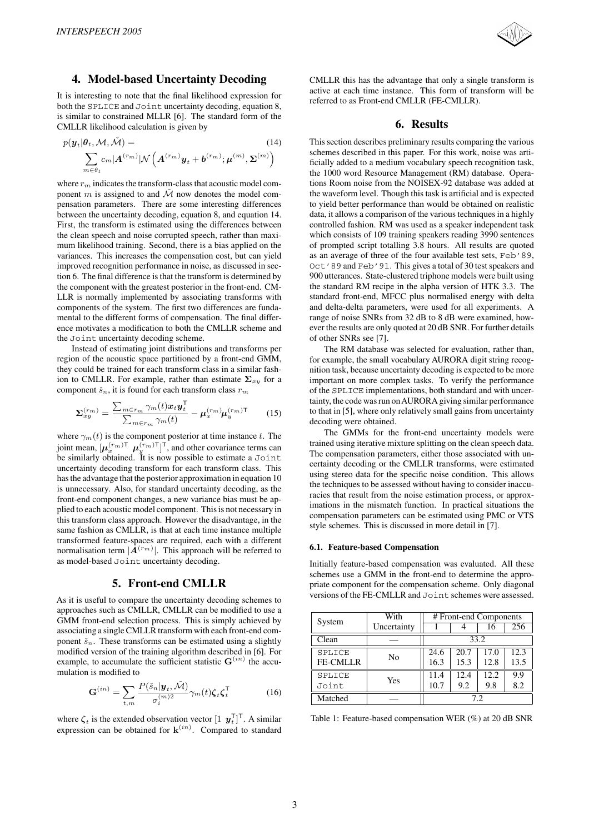

# **4. Model-based Uncertainty Decoding**

It is interesting to note that the final likelihood expression for both the SPLICE and Joint uncertainty decoding, equation 8, is similar to constrained MLLR [6]. The standard form of the CMLLR likelihood calculation is given by

$$
p(\boldsymbol{y}_t|\boldsymbol{\theta}_t, \mathcal{M}, \check{\mathcal{M}}) = \sum_{m \in \theta_t} c_m |\boldsymbol{A}^{(r_m)}| \mathcal{N}\left(\boldsymbol{A}^{(r_m)}\boldsymbol{y}_t + \boldsymbol{b}^{(r_m)}; \boldsymbol{\mu}^{(m)}, \boldsymbol{\Sigma}^{(m)}\right)
$$

where  $r_m$  indicates the transform-class that acoustic model component m is assigned to and  $\check{M}$  now denotes the model compensation parameters. There are some interesting differences between the uncertainty decoding, equation 8, and equation 14. First, the transform is estimated using the differences between the clean speech and noise corrupted speech, rather than maximum likelihood training. Second, there is a bias applied on the variances. This increases the compensation cost, but can yield improved recognition performance in noise, as discussed in section 6. The final difference is that the transform is determined by the component with the greatest posterior in the front-end. CM-LLR is normally implemented by associating transforms with components of the system. The first two differences are fundamental to the different forms of compensation. The final difference motivates a modification to both the CMLLR scheme and the Joint uncertainty decoding scheme.

Instead of estimating joint distributions and transforms per region of the acoustic space partitioned by a front-end GMM, they could be trained for each transform class in a similar fashion to CMLLR. For example, rather than estimate  $\Sigma_{x,y}$  for a component  $\check{s}_n$ , it is found for each transform class  $r_m$ 

$$
\Sigma_{xy}^{(r_m)} = \frac{\sum_{m \in r_m} \gamma_m(t) x_t y_t^{\mathsf{T}}}{\sum_{m \in r_m} \gamma_m(t)} - \mu_x^{(r_m)} \mu_y^{(r_m) \mathsf{T}}
$$
(15)

where  $\gamma_m(t)$  is the component posterior at time instance t. The joint mean,  $[\mu_x^{(r_m)} \mu_y^{(r_m)}]^\top$ , and other covariance terms can<br>be similarly obtained. It is now possible to estimate a Joint be similarly obtained. It is now possible to estimate a Joint uncertainty decoding transform for each transform class. This has the advantage that the posterior approximation in equation 10 is unnecessary. Also, for standard uncertainty decoding, as the front-end component changes, a new variance bias must be applied to each acoustic model component. This is not necessary in this transform class approach. However the disadvantage, in the same fashion as CMLLR, is that at each time instance multiple transformed feature-spaces are required, each with a different normalisation term  $|\mathbf{A}^{(r_m)}|$ . This approach will be referred to as model-based Joint uncertainty decoding.

### **5. Front-end CMLLR**

As it is useful to compare the uncertainty decoding schemes to approaches such as CMLLR, CMLLR can be modified to use a GMM front-end selection process. This is simply achieved by associating a single CMLLR transform with each front-end component  $\check{s}_n$ . These transforms can be estimated using a slightly modified version of the training algorithm described in [6]. For example, to accumulate the sufficient statistic  $\mathbf{G}^{(in)}$  the accumulation is modified to

$$
\mathbf{G}^{(in)} = \sum_{t,m} \frac{P(\check{s}_n | \mathbf{y}_t, \check{\mathcal{M}})}{\sigma_i^{(m)2}} \gamma_m(t) \zeta_t \zeta_t^{\mathsf{T}}
$$
(16)

where  $\zeta_t$  is the extended observation vector  $\begin{bmatrix} 1 & y_t^T \end{bmatrix}^T$ . A similar expression can be obtained for  $\mathbf{k}^{(in)}$ . Compared to standard CMLLR this has the advantage that only a single transform is active at each time instance. This form of transform will be referred to as Front-end CMLLR (FE-CMLLR).

### **6. Results**

This section describes preliminary results comparing the various schemes described in this paper. For this work, noise was artificially added to a medium vocabulary speech recognition task, the 1000 word Resource Management (RM) database. Operations Room noise from the NOISEX-92 database was added at the waveform level. Though this task is artificial and is expected to yield better performance than would be obtained on realistic data, it allows a comparison of the various techniques in a highly controlled fashion. RM was used as a speaker independent task which consists of 109 training speakers reading 3990 sentences of prompted script totalling 3.8 hours. All results are quoted as an average of three of the four available test sets, Feb'89, Oct'89 and Feb'91. This gives a total of 30 test speakers and 900 utterances. State-clustered triphone models were built using the standard RM recipe in the alpha version of HTK 3.3. The standard front-end, MFCC plus normalised energy with delta and delta-delta parameters, were used for all experiments. A range of noise SNRs from 32 dB to 8 dB were examined, however the results are only quoted at 20 dB SNR. For further details of other SNRs see [7].

The RM database was selected for evaluation, rather than, for example, the small vocabulary AURORA digit string recognition task, because uncertainty decoding is expected to be more important on more complex tasks. To verify the performance of the SPLICE implementations, both standard and with uncertainty, the code was run onAURORA giving similar performance to that in [5], where only relatively small gains from uncertainty decoding were obtained.

The GMMs for the front-end uncertainty models were trained using iterative mixture splitting on the clean speech data. The compensation parameters, either those associated with uncertainty decoding or the CMLLR transforms, were estimated using stereo data for the specific noise condition. This allows the techniques to be assessed without having to consider inaccuracies that result from the noise estimation process, or approximations in the mismatch function. In practical situations the compensation parameters can be estimated using PMC or VTS style schemes. This is discussed in more detail in [7].

#### **6.1. Feature-based Compensation**

Initially feature-based compensation was evaluated. All these schemes use a GMM in the front-end to determine the appropriate component for the compensation scheme. Only diagonal versions of the FE-CMLLR and Joint schemes were assessed.

| System          | With        | # Front-end Components |      |      |      |
|-----------------|-------------|------------------------|------|------|------|
|                 | Uncertainty |                        |      |      | 256  |
| Clean           |             | 33.2                   |      |      |      |
| <b>SPLICE</b>   | No          | 24.6                   | 20.7 | 17.0 | 12.3 |
| <b>FE-CMLLR</b> |             | 16.3                   | 15.3 | 12.8 | 13.5 |
| SPLICE          | Yes         | 11.4                   | 12.4 | 12.2 | 9.9  |
| Joint           |             | 10.7                   | 9.2  | 9.8  | 8.2  |
| Matched         |             | 7.2                    |      |      |      |

Table 1: Feature-based compensation WER (%) at 20 dB SNR